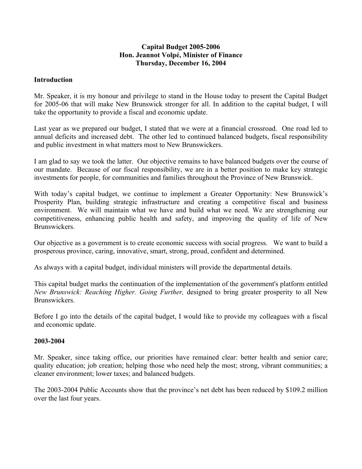### **Capital Budget 2005-2006 Hon. Jeannot Volpé, Minister of Finance Thursday, December 16, 2004**

### **Introduction**

Mr. Speaker, it is my honour and privilege to stand in the House today to present the Capital Budget for 2005-06 that will make New Brunswick stronger for all. In addition to the capital budget, I will take the opportunity to provide a fiscal and economic update.

Last year as we prepared our budget, I stated that we were at a financial crossroad. One road led to annual deficits and increased debt. The other led to continued balanced budgets, fiscal responsibility and public investment in what matters most to New Brunswickers.

I am glad to say we took the latter. Our objective remains to have balanced budgets over the course of our mandate. Because of our fiscal responsibility, we are in a better position to make key strategic investments for people, for communities and families throughout the Province of New Brunswick.

With today's capital budget, we continue to implement a Greater Opportunity: New Brunswick's Prosperity Plan, building strategic infrastructure and creating a competitive fiscal and business environment. We will maintain what we have and build what we need. We are strengthening our competitiveness, enhancing public health and safety, and improving the quality of life of New Brunswickers.

Our objective as a government is to create economic success with social progress. We want to build a prosperous province, caring, innovative, smart, strong, proud, confident and determined.

As always with a capital budget, individual ministers will provide the departmental details.

This capital budget marks the continuation of the implementation of the government's platform entitled *New Brunswick: Reaching Higher. Going Further,* designed to bring greater prosperity to all New Brunswickers.

Before I go into the details of the capital budget, I would like to provide my colleagues with a fiscal and economic update.

#### **2003-2004**

Mr. Speaker, since taking office, our priorities have remained clear: better health and senior care; quality education; job creation; helping those who need help the most; strong, vibrant communities; a cleaner environment; lower taxes; and balanced budgets.

The 2003-2004 Public Accounts show that the province's net debt has been reduced by \$109.2 million over the last four years.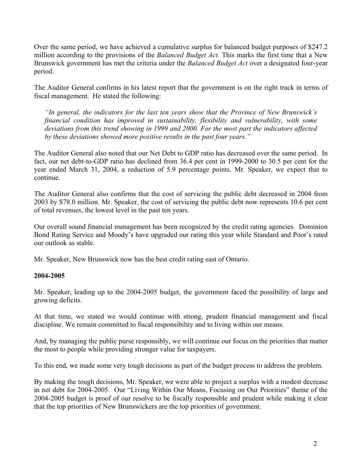Over the same period, we have achieved a cumulative surplus for balanced budget purposes of \$247.2 million according to the provisions of the *Balanced Budget Act.* This marks the first time that a New Brunswick government has met the criteria under the *Balanced Budget Act* over a designated four-year period.

The Auditor General confirms in his latest report that the government is on the right track in terms of fiscal management. He stated the following:

*"In general, the indicators for the last ten years show that the Province of New Brunswick's financial condition has improved in sustainability, flexibility and vulnerability, with some deviations from this trend showing in 1999 and 2000. For the most part the indicators affected by these deviations showed more positive results in the past four years."*

The Auditor General also noted that our Net Debt to GDP ratio has decreased over the same period. In fact, our net debt-to-GDP ratio has declined from 36.4 per cent in 1999-2000 to 30.5 per cent for the year ended March 31, 2004, a reduction of 5.9 percentage points. Mr. Speaker, we expect that to continue.

The Auditor General also confirms that the cost of servicing the public debt decreased in 2004 from 2003 by \$78.0 million. Mr. Speaker, the cost of servicing the public debt now represents 10.6 per cent of total revenues, the lowest level in the past ten years.

Our overall sound financial management has been recognized by the credit rating agencies. Dominion Bond Rating Service and Moody's have upgraded our rating this year while Standard and Poor's rated our outlook as stable.

Mr. Speaker, New Brunswick now has the best credit rating east of Ontario.

## **2004-2005**

Mr. Speaker, leading up to the 2004-2005 budget, the government faced the possibility of large and growing deficits.

At that time, we stated we would continue with strong, prudent financial management and fiscal discipline. We remain committed to fiscal responsibility and to living within our means.

And, by managing the public purse responsibly, we will continue our focus on the priorities that matter the most to people while providing stronger value for taxpayers.

To this end, we made some very tough decisions as part of the budget process to address the problem.

By making the tough decisions, Mr. Speaker, we were able to project a surplus with a modest decrease in net debt for 2004-2005. Our "Living Within Our Means, Focusing on Our Priorities" theme of the 2004-2005 budget is proof of our resolve to be fiscally responsible and prudent while making it clear that the top priorities of New Brunswickers are the top priorities of government.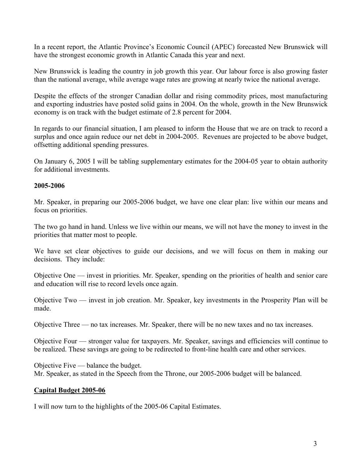In a recent report, the Atlantic Province's Economic Council (APEC) forecasted New Brunswick will have the strongest economic growth in Atlantic Canada this year and next.

New Brunswick is leading the country in job growth this year. Our labour force is also growing faster than the national average, while average wage rates are growing at nearly twice the national average.

Despite the effects of the stronger Canadian dollar and rising commodity prices, most manufacturing and exporting industries have posted solid gains in 2004. On the whole, growth in the New Brunswick economy is on track with the budget estimate of 2.8 percent for 2004.

In regards to our financial situation, I am pleased to inform the House that we are on track to record a surplus and once again reduce our net debt in 2004-2005. Revenues are projected to be above budget, offsetting additional spending pressures.

On January 6, 2005 I will be tabling supplementary estimates for the 2004-05 year to obtain authority for additional investments.

### **2005-2006**

Mr. Speaker, in preparing our 2005-2006 budget, we have one clear plan: live within our means and focus on priorities.

The two go hand in hand. Unless we live within our means, we will not have the money to invest in the priorities that matter most to people.

We have set clear objectives to guide our decisions, and we will focus on them in making our decisions. They include:

Objective One — invest in priorities. Mr. Speaker, spending on the priorities of health and senior care and education will rise to record levels once again.

Objective Two — invest in job creation. Mr. Speaker, key investments in the Prosperity Plan will be made.

Objective Three — no tax increases. Mr. Speaker, there will be no new taxes and no tax increases.

Objective Four — stronger value for taxpayers. Mr. Speaker, savings and efficiencies will continue to be realized. These savings are going to be redirected to front-line health care and other services.

Objective Five — balance the budget. Mr. Speaker, as stated in the Speech from the Throne, our 2005-2006 budget will be balanced.

## **Capital Budget 2005-06**

I will now turn to the highlights of the 2005-06 Capital Estimates.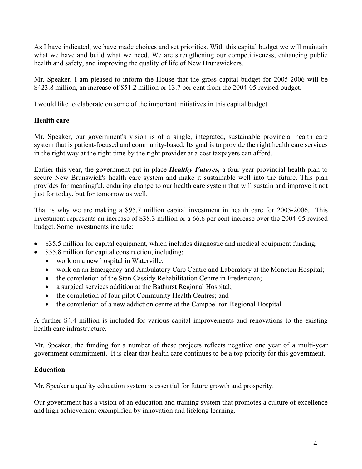As I have indicated, we have made choices and set priorities. With this capital budget we will maintain what we have and build what we need. We are strengthening our competitiveness, enhancing public health and safety, and improving the quality of life of New Brunswickers.

Mr. Speaker, I am pleased to inform the House that the gross capital budget for 2005-2006 will be \$423.8 million, an increase of \$51.2 million or 13.7 per cent from the 2004-05 revised budget.

I would like to elaborate on some of the important initiatives in this capital budget.

# **Health care**

Mr. Speaker, our government's vision is of a single, integrated, sustainable provincial health care system that is patient-focused and community-based. Its goal is to provide the right health care services in the right way at the right time by the right provider at a cost taxpayers can afford.

Earlier this year, the government put in place *Healthy Futures,* a four-year provincial health plan to secure New Brunswick's health care system and make it sustainable well into the future. This plan provides for meaningful, enduring change to our health care system that will sustain and improve it not just for today, but for tomorrow as well.

That is why we are making a \$95.7 million capital investment in health care for 2005-2006. This investment represents an increase of \$38.3 million or a 66.6 per cent increase over the 2004-05 revised budget. Some investments include:

- \$35.5 million for capital equipment, which includes diagnostic and medical equipment funding.
- \$55.8 million for capital construction, including:
	- work on a new hospital in Waterville;
	- work on an Emergency and Ambulatory Care Centre and Laboratory at the Moncton Hospital;
	- the completion of the Stan Cassidy Rehabilitation Centre in Fredericton;
	- a surgical services addition at the Bathurst Regional Hospital;
	- the completion of four pilot Community Health Centres; and
	- the completion of a new addiction centre at the Campbellton Regional Hospital.

A further \$4.4 million is included for various capital improvements and renovations to the existing health care infrastructure.

Mr. Speaker, the funding for a number of these projects reflects negative one year of a multi-year government commitment. It is clear that health care continues to be a top priority for this government.

# **Education**

Mr. Speaker a quality education system is essential for future growth and prosperity.

Our government has a vision of an education and training system that promotes a culture of excellence and high achievement exemplified by innovation and lifelong learning.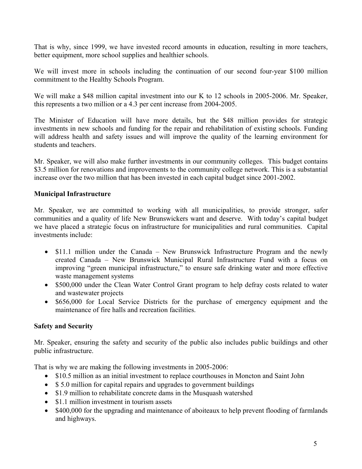That is why, since 1999, we have invested record amounts in education, resulting in more teachers, better equipment, more school supplies and healthier schools.

We will invest more in schools including the continuation of our second four-year \$100 million commitment to the Healthy Schools Program.

We will make a \$48 million capital investment into our K to 12 schools in 2005-2006. Mr. Speaker, this represents a two million or a 4.3 per cent increase from 2004-2005.

The Minister of Education will have more details, but the \$48 million provides for strategic investments in new schools and funding for the repair and rehabilitation of existing schools. Funding will address health and safety issues and will improve the quality of the learning environment for students and teachers.

Mr. Speaker, we will also make further investments in our community colleges. This budget contains \$3.5 million for renovations and improvements to the community college network. This is a substantial increase over the two million that has been invested in each capital budget since 2001-2002.

### **Municipal Infrastructure**

Mr. Speaker, we are committed to working with all municipalities, to provide stronger, safer communities and a quality of life New Brunswickers want and deserve. With today's capital budget we have placed a strategic focus on infrastructure for municipalities and rural communities. Capital investments include:

- \$11.1 million under the Canada New Brunswick Infrastructure Program and the newly created Canada – New Brunswick Municipal Rural Infrastructure Fund with a focus on improving "green municipal infrastructure," to ensure safe drinking water and more effective waste management systems
- \$500,000 under the Clean Water Control Grant program to help defray costs related to water and wastewater projects
- \$656,000 for Local Service Districts for the purchase of emergency equipment and the maintenance of fire halls and recreation facilities.

#### **Safety and Security**

Mr. Speaker, ensuring the safety and security of the public also includes public buildings and other public infrastructure.

That is why we are making the following investments in 2005-2006:

- \$10.5 million as an initial investment to replace courthouses in Moncton and Saint John
- \$5.0 million for capital repairs and upgrades to government buildings
- \$1.9 million to rehabilitate concrete dams in the Musquash watershed
- \$1.1 million investment in tourism assets
- \$400,000 for the upgrading and maintenance of aboiteaux to help prevent flooding of farmlands and highways.